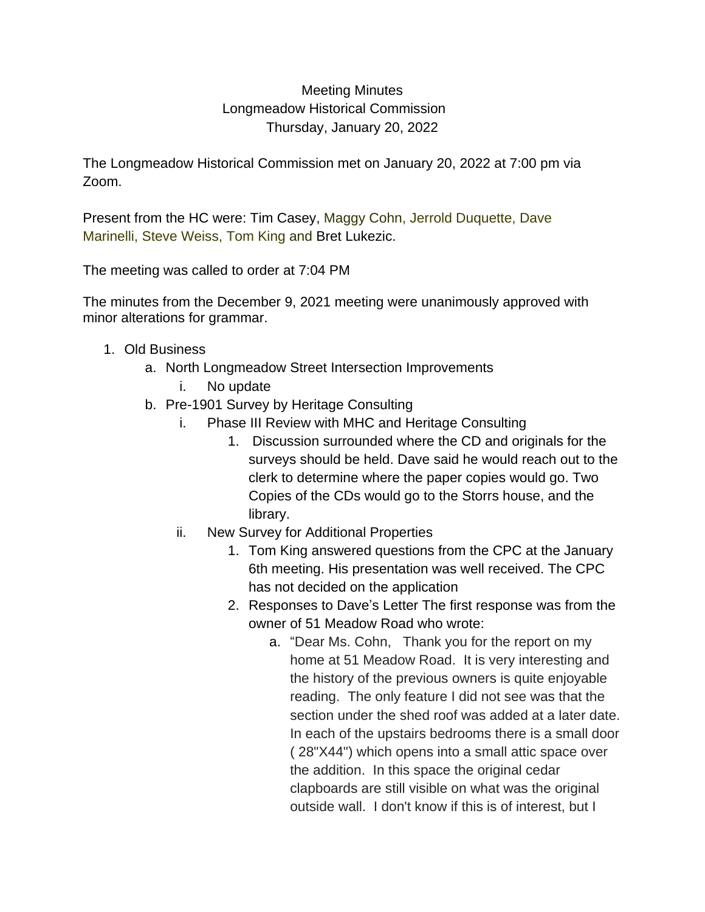## Meeting Minutes Longmeadow Historical Commission Thursday, January 20, 2022

The Longmeadow Historical Commission met on January 20, 2022 at 7:00 pm via Zoom.

Present from the HC were: Tim Casey, Maggy Cohn, Jerrold Duquette, Dave Marinelli, Steve Weiss, Tom King and Bret Lukezic.

The meeting was called to order at 7:04 PM

The minutes from the December 9, 2021 meeting were unanimously approved with minor alterations for grammar.

- 1. Old Business
	- a. North Longmeadow Street Intersection Improvements
		- i. No update
	- b. Pre-1901 Survey by Heritage Consulting
		- i. Phase III Review with MHC and Heritage Consulting
			- 1. Discussion surrounded where the CD and originals for the surveys should be held. Dave said he would reach out to the clerk to determine where the paper copies would go. Two Copies of the CDs would go to the Storrs house, and the library.
		- ii. New Survey for Additional Properties
			- 1. Tom King answered questions from the CPC at the January 6th meeting. His presentation was well received. The CPC has not decided on the application
			- 2. Responses to Dave's Letter The first response was from the owner of 51 Meadow Road who wrote:
				- a. "Dear Ms. Cohn, Thank you for the report on my home at 51 Meadow Road. It is very interesting and the history of the previous owners is quite enjoyable reading. The only feature I did not see was that the section under the shed roof was added at a later date. In each of the upstairs bedrooms there is a small door ( 28"X44") which opens into a small attic space over the addition. In this space the original cedar clapboards are still visible on what was the original outside wall. I don't know if this is of interest, but I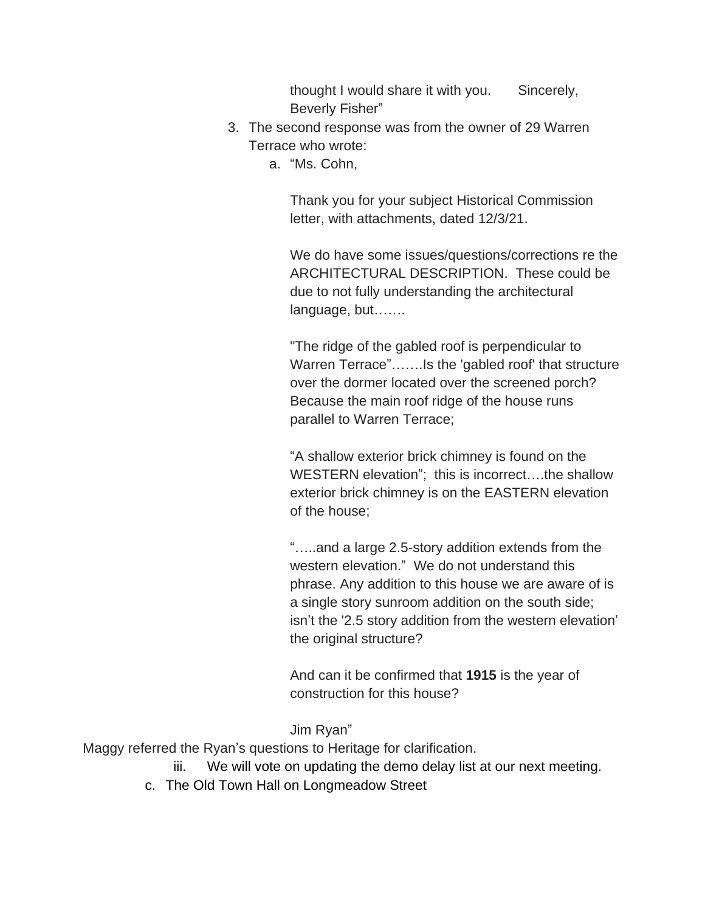thought I would share it with you. Sincerely, Beverly Fisher"

- 3. The second response was from the owner of 29 Warren Terrace who wrote:
	- a. "Ms. Cohn,

Thank you for your subject Historical Commission letter, with attachments, dated 12/3/21.

We do have some issues/questions/corrections re the ARCHITECTURAL DESCRIPTION. These could be due to not fully understanding the architectural language, but…….

"The ridge of the gabled roof is perpendicular to Warren Terrace"…….Is the 'gabled roof' that structure over the dormer located over the screened porch? Because the main roof ridge of the house runs parallel to Warren Terrace;

"A shallow exterior brick chimney is found on the WESTERN elevation"; this is incorrect….the shallow exterior brick chimney is on the EASTERN elevation of the house;

"…..and a large 2.5-story addition extends from the western elevation." We do not understand this phrase. Any addition to this house we are aware of is a single story sunroom addition on the south side; isn't the '2.5 story addition from the western elevation' the original structure?

And can it be confirmed that **1915** is the year of construction for this house?

## Jim Ryan"

Maggy referred the Ryan's questions to Heritage for clarification.

- iii. We will vote on updating the demo delay list at our next meeting.
- c. The Old Town Hall on Longmeadow Street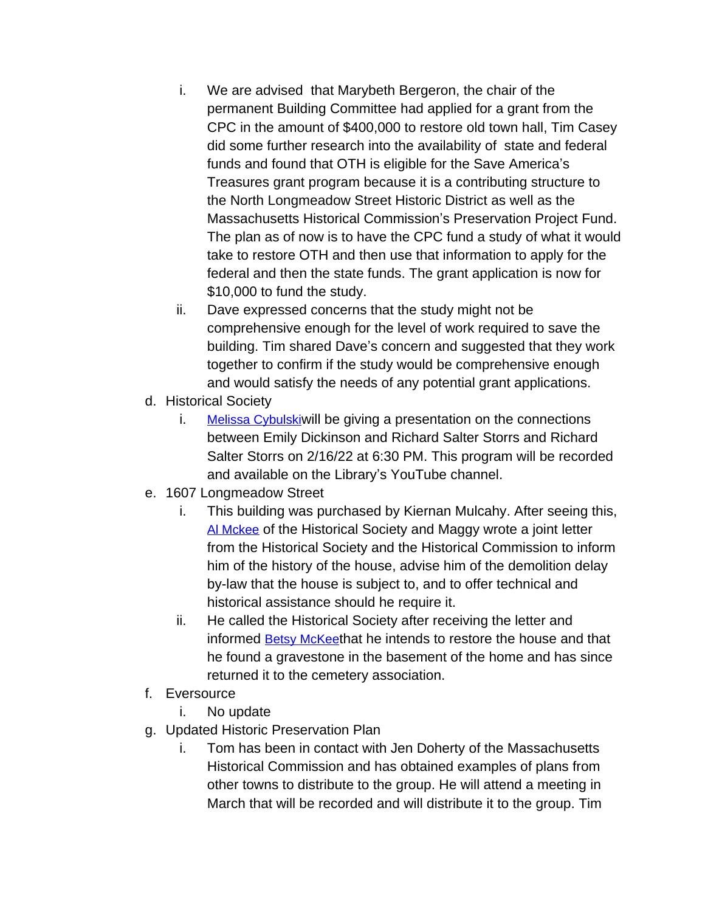- i. We are advised that Marybeth Bergeron, the chair of the permanent Building Committee had applied for a grant from the CPC in the amount of \$400,000 to restore old town hall, Tim Casey did some further research into the availability of state and federal funds and found that OTH is eligible for the Save America's Treasures grant program because it is a contributing structure to the North Longmeadow Street Historic District as well as the Massachusetts Historical Commission's Preservation Project Fund. The plan as of now is to have the CPC fund a study of what it would take to restore OTH and then use that information to apply for the federal and then the state funds. The grant application is now for \$10,000 to fund the study.
- ii. Dave expressed concerns that the study might not be comprehensive enough for the level of work required to save the building. Tim shared Dave's concern and suggested that they work together to confirm if the study would be comprehensive enough and would satisfy the needs of any potential grant applications.
- d. Historical Society
	- i. [Melissa Cybulski](mailto:mmcybulski@comcast.net)[will be giving a presentation on the connections](mailto:mmcybulski@comcast.net)  [between Emily Dickinson and Richard Salter Storrs and Richard](mailto:mmcybulski@comcast.net)  [Salter Storrs on 2/16/22 at 6:30 PM. This program will be recorded](mailto:mmcybulski@comcast.net)  [and available on the Library](mailto:mmcybulski@comcast.net)'s YouTube channel.
- e. [1607 Longmeadow Street](mailto:mmcybulski@comcast.net)
	- i. [This building was purchased by Kiernan Mulcahy. After seeing this,](mailto:mmcybulski@comcast.net)  [Al Mckee](mailto:almckee1801@gmail.com) of the Historical Society and Maggy wrote a joint letter [from the Historical Society and the Historical Commission to inform](mailto:almckee1801@gmail.com)  [him of the history of the house, advise him of the demolition delay](mailto:almckee1801@gmail.com)  [by-law that the house is subject to, and to offer technical and](mailto:almckee1801@gmail.com)  [historical assistance should he require it.](mailto:almckee1801@gmail.com)
	- ii. [He called the Historical Society after receiving the letter and](mailto:almckee1801@gmail.com)  [informed](mailto:almckee1801@gmail.com) [Betsy McKee](mailto:bmckee427@gmail.com)[that he intends to restore the house and that](mailto:bmckee427@gmail.com)  [he found a gravestone in the basement of the home and has since](mailto:bmckee427@gmail.com)  [returned it to the cemetery association.](mailto:bmckee427@gmail.com)
- f. [Eversource](mailto:bmckee427@gmail.com)
	- i. [No update](mailto:bmckee427@gmail.com)
- g. [Updated Historic Preservation Plan](mailto:bmckee427@gmail.com)
	- i. [Tom has been in contact with Jen Doherty of the Massachusetts](mailto:bmckee427@gmail.com)  [Historical Commission and has obtained examples of plans from](mailto:bmckee427@gmail.com)  [other towns to distribute to the group. He will attend a meeting in](mailto:bmckee427@gmail.com)  [March that will be recorded and will distribute it to the group. Tim](mailto:bmckee427@gmail.com)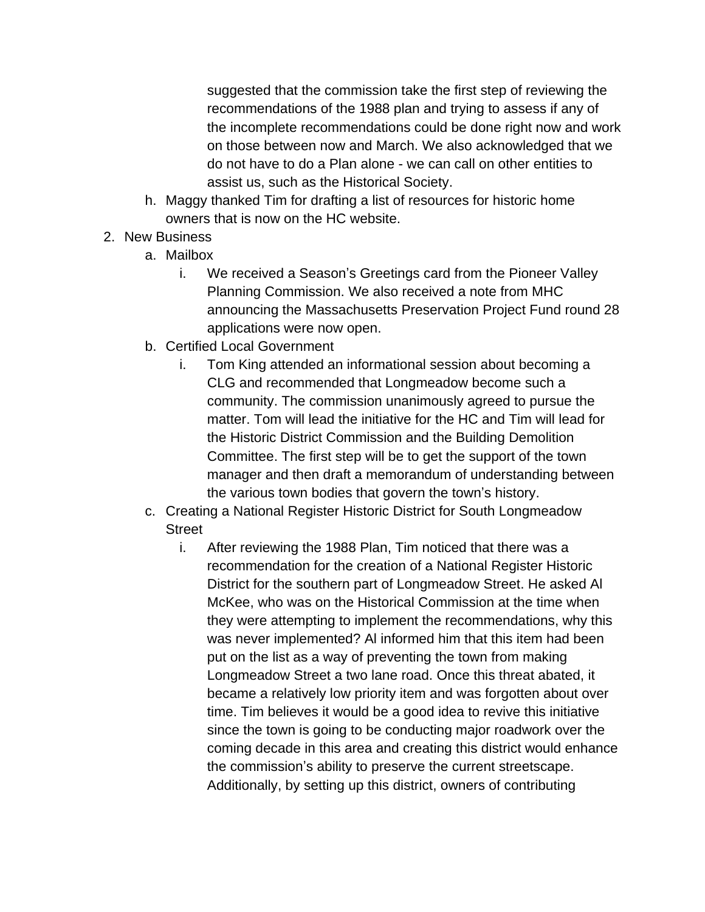suggested that the commission take the first step of reviewing the recommendations of the 1988 plan and trying to assess if any of the incomplete recommendations could be done right now and work on those between now and March. We also acknowledged that we do not have to do a Plan alone - we can call on other entities to assist us, such as the Historical Society.

- h. Maggy thanked Tim for drafting a list of resources for historic home owners that is now on the HC website.
- 2. New Business
	- a. Mailbox
		- i. We received a Season's Greetings card from the Pioneer Valley Planning Commission. We also received a note from MHC announcing the Massachusetts Preservation Project Fund round 28 applications were now open.
	- b. Certified Local Government
		- i. Tom King attended an informational session about becoming a CLG and recommended that Longmeadow become such a community. The commission unanimously agreed to pursue the matter. Tom will lead the initiative for the HC and Tim will lead for the Historic District Commission and the Building Demolition Committee. The first step will be to get the support of the town manager and then draft a memorandum of understanding between the various town bodies that govern the town's history.
	- c. Creating a National Register Historic District for South Longmeadow **Street** 
		- i. After reviewing the 1988 Plan, Tim noticed that there was a recommendation for the creation of a National Register Historic District for the southern part of Longmeadow Street. He asked Al McKee, who was on the Historical Commission at the time when they were attempting to implement the recommendations, why this was never implemented? Al informed him that this item had been put on the list as a way of preventing the town from making Longmeadow Street a two lane road. Once this threat abated, it became a relatively low priority item and was forgotten about over time. Tim believes it would be a good idea to revive this initiative since the town is going to be conducting major roadwork over the coming decade in this area and creating this district would enhance the commission's ability to preserve the current streetscape. Additionally, by setting up this district, owners of contributing